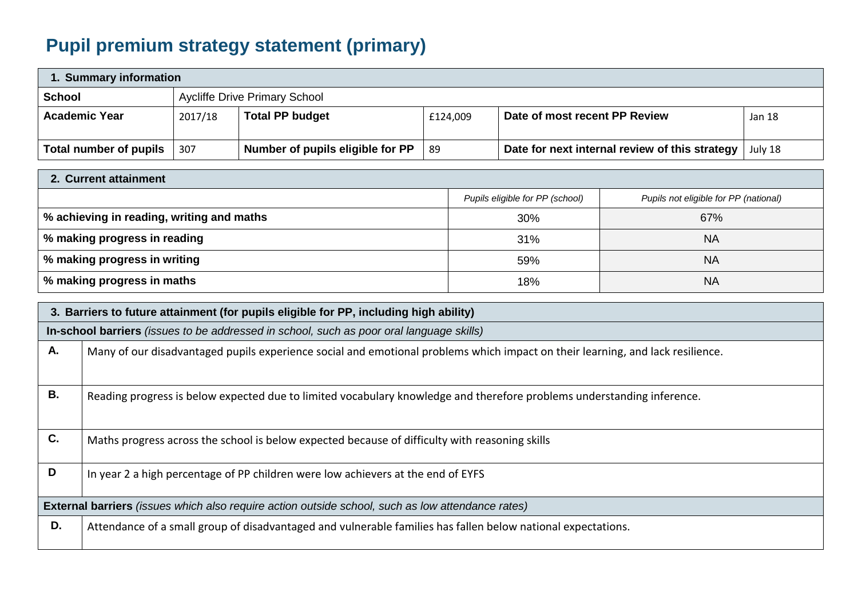## **Pupil premium strategy statement (primary)**

| 1. Summary information |         |                                      |          |                                                |         |  |
|------------------------|---------|--------------------------------------|----------|------------------------------------------------|---------|--|
| <b>School</b>          |         | <b>Aycliffe Drive Primary School</b> |          |                                                |         |  |
| <b>Academic Year</b>   | 2017/18 | <b>Total PP budget</b>               | £124,009 | Date of most recent PP Review                  | Jan 18  |  |
| Total number of pupils | 307     | Number of pupils eligible for PP     | -89      | Date for next internal review of this strategy | July 18 |  |

| 2. Current attainment                       |                                 |                                       |  |  |  |
|---------------------------------------------|---------------------------------|---------------------------------------|--|--|--|
|                                             | Pupils eligible for PP (school) | Pupils not eligible for PP (national) |  |  |  |
| │ % achieving in reading, writing and maths | 30%                             | 67%                                   |  |  |  |
| % making progress in reading                | 31%                             | <b>NA</b>                             |  |  |  |
| % making progress in writing                | 59%                             | <b>NA</b>                             |  |  |  |
| │ % making progress in maths                | 18%                             | <b>NA</b>                             |  |  |  |

|    | 3. Barriers to future attainment (for pupils eligible for PP, including high ability)                                          |  |  |  |  |
|----|--------------------------------------------------------------------------------------------------------------------------------|--|--|--|--|
|    | In-school barriers (issues to be addressed in school, such as poor oral language skills)                                       |  |  |  |  |
| Α. | Many of our disadvantaged pupils experience social and emotional problems which impact on their learning, and lack resilience. |  |  |  |  |
|    |                                                                                                                                |  |  |  |  |
| В. | Reading progress is below expected due to limited vocabulary knowledge and therefore problems understanding inference.         |  |  |  |  |
|    |                                                                                                                                |  |  |  |  |
| C. | Maths progress across the school is below expected because of difficulty with reasoning skills                                 |  |  |  |  |
|    |                                                                                                                                |  |  |  |  |
| D  | In year 2 a high percentage of PP children were low achievers at the end of EYFS                                               |  |  |  |  |
|    | <b>External barriers</b> (issues which also require action outside school, such as low attendance rates)                       |  |  |  |  |
| D. | Attendance of a small group of disadvantaged and vulnerable families has fallen below national expectations.                   |  |  |  |  |
|    |                                                                                                                                |  |  |  |  |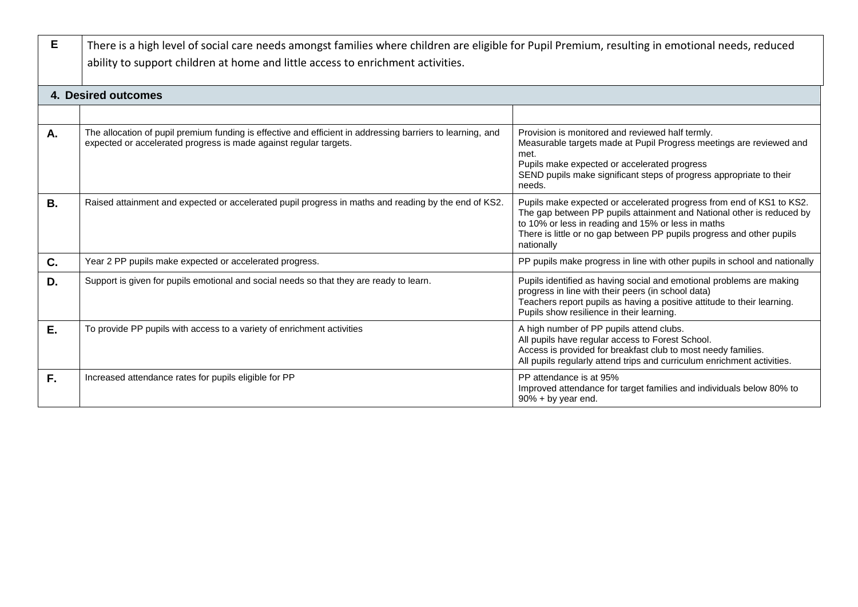| E  | There is a high level of social care needs amongst families where children are eligible for Pupil Premium, resulting in emotional needs, reduced<br>ability to support children at home and little access to enrichment activities. |                                                                                                                                                                                                                                                                                            |  |  |
|----|-------------------------------------------------------------------------------------------------------------------------------------------------------------------------------------------------------------------------------------|--------------------------------------------------------------------------------------------------------------------------------------------------------------------------------------------------------------------------------------------------------------------------------------------|--|--|
|    | 4. Desired outcomes                                                                                                                                                                                                                 |                                                                                                                                                                                                                                                                                            |  |  |
|    |                                                                                                                                                                                                                                     |                                                                                                                                                                                                                                                                                            |  |  |
| A. | The allocation of pupil premium funding is effective and efficient in addressing barriers to learning, and<br>expected or accelerated progress is made against regular targets.                                                     | Provision is monitored and reviewed half termly.<br>Measurable targets made at Pupil Progress meetings are reviewed and<br>met.<br>Pupils make expected or accelerated progress<br>SEND pupils make significant steps of progress appropriate to their<br>needs.                           |  |  |
| В. | Raised attainment and expected or accelerated pupil progress in maths and reading by the end of KS2.                                                                                                                                | Pupils make expected or accelerated progress from end of KS1 to KS2.<br>The gap between PP pupils attainment and National other is reduced by<br>to 10% or less in reading and 15% or less in maths<br>There is little or no gap between PP pupils progress and other pupils<br>nationally |  |  |
| C. | Year 2 PP pupils make expected or accelerated progress.                                                                                                                                                                             | PP pupils make progress in line with other pupils in school and nationally                                                                                                                                                                                                                 |  |  |
| D. | Support is given for pupils emotional and social needs so that they are ready to learn.                                                                                                                                             | Pupils identified as having social and emotional problems are making<br>progress in line with their peers (in school data)<br>Teachers report pupils as having a positive attitude to their learning.<br>Pupils show resilience in their learning.                                         |  |  |
| Ε. | To provide PP pupils with access to a variety of enrichment activities                                                                                                                                                              | A high number of PP pupils attend clubs.<br>All pupils have regular access to Forest School.<br>Access is provided for breakfast club to most needy families.<br>All pupils regularly attend trips and curriculum enrichment activities.                                                   |  |  |
| F. | Increased attendance rates for pupils eligible for PP                                                                                                                                                                               | PP attendance is at 95%<br>Improved attendance for target families and individuals below 80% to<br>90% + by year end.                                                                                                                                                                      |  |  |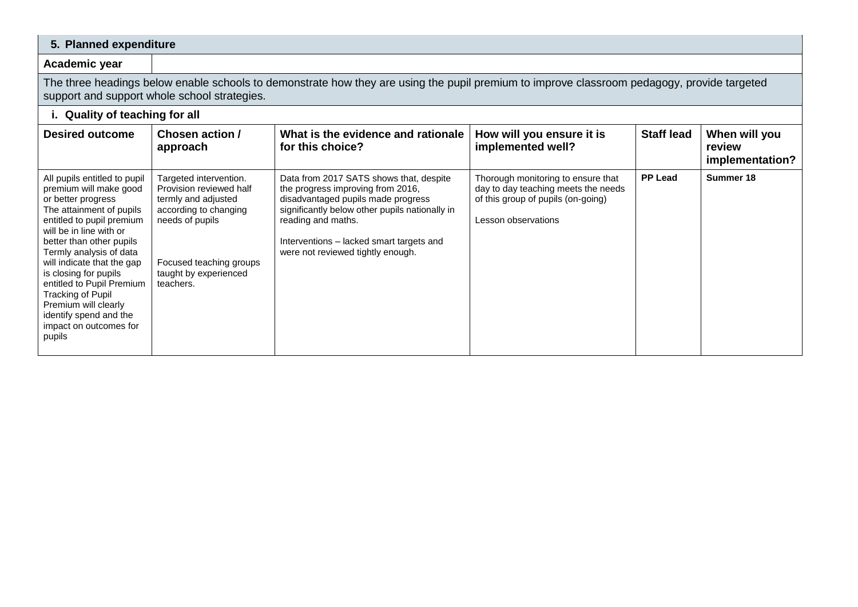## **5. Planned expenditure**

## **Academic year**

The three headings below enable schools to demonstrate how they are using the pupil premium to improve classroom pedagogy, provide targeted support and support whole school strategies.

## **i. Quality of teaching for all**

| <b>Desired outcome</b>                                                                                                                                                                                                                                                                                                                                                                                                 | Chosen action /<br>approach                                                                                                                                                           | What is the evidence and rationale<br>for this choice?                                                                                                                                                                                                                      | How will you ensure it is<br>implemented well?                                                                                         | <b>Staff lead</b> | When will you<br>review<br>implementation? |
|------------------------------------------------------------------------------------------------------------------------------------------------------------------------------------------------------------------------------------------------------------------------------------------------------------------------------------------------------------------------------------------------------------------------|---------------------------------------------------------------------------------------------------------------------------------------------------------------------------------------|-----------------------------------------------------------------------------------------------------------------------------------------------------------------------------------------------------------------------------------------------------------------------------|----------------------------------------------------------------------------------------------------------------------------------------|-------------------|--------------------------------------------|
| All pupils entitled to pupil<br>premium will make good<br>or better progress<br>The attainment of pupils<br>entitled to pupil premium<br>will be in line with or<br>better than other pupils<br>Termly analysis of data<br>will indicate that the gap<br>is closing for pupils<br>entitled to Pupil Premium<br>Tracking of Pupil<br>Premium will clearly<br>identify spend and the<br>impact on outcomes for<br>pupils | Targeted intervention.<br>Provision reviewed half<br>termly and adjusted<br>according to changing<br>needs of pupils<br>Focused teaching groups<br>taught by experienced<br>teachers. | Data from 2017 SATS shows that, despite<br>the progress improving from 2016,<br>disadvantaged pupils made progress<br>significantly below other pupils nationally in<br>reading and maths.<br>Interventions – lacked smart targets and<br>were not reviewed tightly enough. | Thorough monitoring to ensure that<br>day to day teaching meets the needs<br>of this group of pupils (on-going)<br>Lesson observations | <b>PP Lead</b>    | Summer 18                                  |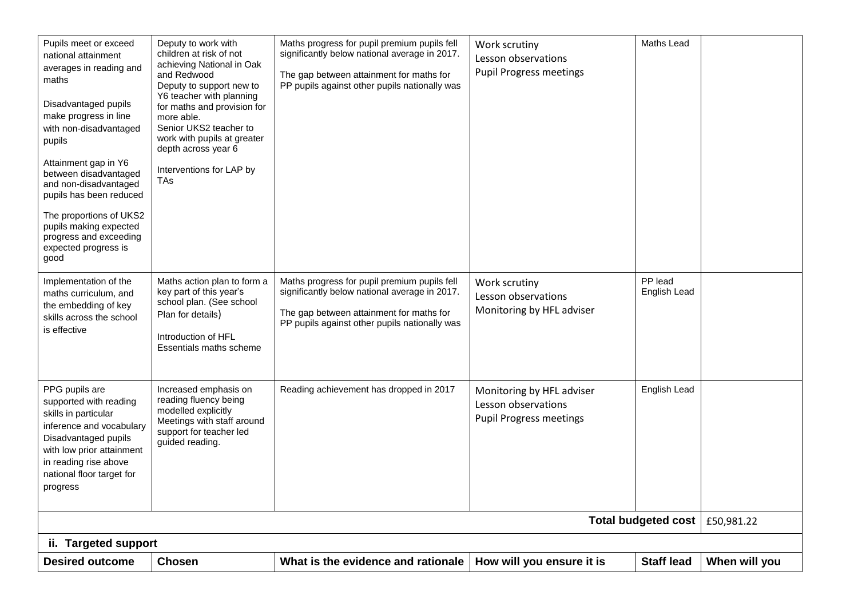| Pupils meet or exceed<br>national attainment<br>averages in reading and<br>maths<br>Disadvantaged pupils<br>make progress in line<br>with non-disadvantaged<br>pupils<br>Attainment gap in Y6<br>between disadvantaged<br>and non-disadvantaged<br>pupils has been reduced<br>The proportions of UKS2<br>pupils making expected<br>progress and exceeding<br>expected progress is<br>good | Deputy to work with<br>children at risk of not<br>achieving National in Oak<br>and Redwood<br>Deputy to support new to<br>Y6 teacher with planning<br>for maths and provision for<br>more able.<br>Senior UKS2 teacher to<br>work with pupils at greater<br>depth across year 6<br>Interventions for LAP by<br>TAs | Maths progress for pupil premium pupils fell<br>significantly below national average in 2017.<br>The gap between attainment for maths for<br>PP pupils against other pupils nationally was | Work scrutiny<br>Lesson observations<br><b>Pupil Progress meetings</b>             | Maths Lead              |               |  |
|-------------------------------------------------------------------------------------------------------------------------------------------------------------------------------------------------------------------------------------------------------------------------------------------------------------------------------------------------------------------------------------------|--------------------------------------------------------------------------------------------------------------------------------------------------------------------------------------------------------------------------------------------------------------------------------------------------------------------|--------------------------------------------------------------------------------------------------------------------------------------------------------------------------------------------|------------------------------------------------------------------------------------|-------------------------|---------------|--|
| Implementation of the<br>maths curriculum, and<br>the embedding of key<br>skills across the school<br>is effective                                                                                                                                                                                                                                                                        | Maths action plan to form a<br>key part of this year's<br>school plan. (See school<br>Plan for details)<br>Introduction of HFL<br>Essentials maths scheme                                                                                                                                                          | Maths progress for pupil premium pupils fell<br>significantly below national average in 2017.<br>The gap between attainment for maths for<br>PP pupils against other pupils nationally was | Work scrutiny<br>Lesson observations<br>Monitoring by HFL adviser                  | PP lead<br>English Lead |               |  |
| PPG pupils are<br>supported with reading<br>skills in particular<br>inference and vocabulary<br>Disadvantaged pupils<br>with low prior attainment<br>in reading rise above<br>national floor target for<br>progress                                                                                                                                                                       | Increased emphasis on<br>reading fluency being<br>modelled explicitly<br>Meetings with staff around<br>support for teacher led<br>guided reading.                                                                                                                                                                  | Reading achievement has dropped in 2017                                                                                                                                                    | Monitoring by HFL adviser<br>Lesson observations<br><b>Pupil Progress meetings</b> | English Lead            |               |  |
| Total budgeted cost<br>£50,981.22                                                                                                                                                                                                                                                                                                                                                         |                                                                                                                                                                                                                                                                                                                    |                                                                                                                                                                                            |                                                                                    |                         |               |  |
| ii. Targeted support                                                                                                                                                                                                                                                                                                                                                                      |                                                                                                                                                                                                                                                                                                                    |                                                                                                                                                                                            |                                                                                    |                         |               |  |
| <b>Desired outcome</b>                                                                                                                                                                                                                                                                                                                                                                    | <b>Chosen</b>                                                                                                                                                                                                                                                                                                      | What is the evidence and rationale                                                                                                                                                         | How will you ensure it is                                                          | <b>Staff lead</b>       | When will you |  |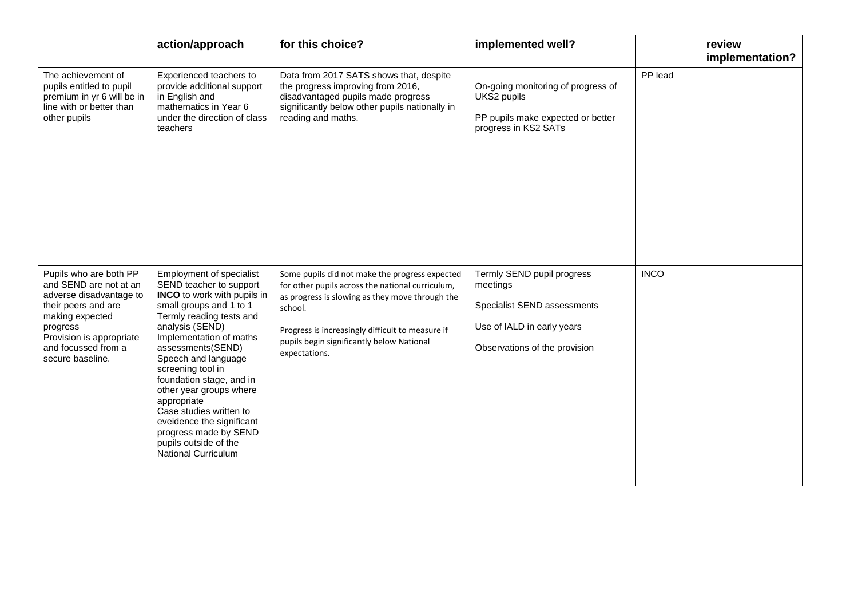|                                                                                                                                                                                                          | action/approach                                                                                                                                                                                                                                                                                                                                                                                                                                                               | for this choice?                                                                                                                                                                                                                                                                   | implemented well?                                                                                                                    |             | review<br>implementation? |
|----------------------------------------------------------------------------------------------------------------------------------------------------------------------------------------------------------|-------------------------------------------------------------------------------------------------------------------------------------------------------------------------------------------------------------------------------------------------------------------------------------------------------------------------------------------------------------------------------------------------------------------------------------------------------------------------------|------------------------------------------------------------------------------------------------------------------------------------------------------------------------------------------------------------------------------------------------------------------------------------|--------------------------------------------------------------------------------------------------------------------------------------|-------------|---------------------------|
| The achievement of<br>pupils entitled to pupil<br>premium in yr 6 will be in<br>line with or better than<br>other pupils                                                                                 | Experienced teachers to<br>provide additional support<br>in English and<br>mathematics in Year 6<br>under the direction of class<br>teachers                                                                                                                                                                                                                                                                                                                                  | Data from 2017 SATS shows that, despite<br>the progress improving from 2016,<br>disadvantaged pupils made progress<br>significantly below other pupils nationally in<br>reading and maths.                                                                                         | On-going monitoring of progress of<br>UKS2 pupils<br>PP pupils make expected or better<br>progress in KS2 SATs                       | PP lead     |                           |
| Pupils who are both PP<br>and SEND are not at an<br>adverse disadvantage to<br>their peers and are<br>making expected<br>progress<br>Provision is appropriate<br>and focussed from a<br>secure baseline. | Employment of specialist<br>SEND teacher to support<br><b>INCO</b> to work with pupils in<br>small groups and 1 to 1<br>Termly reading tests and<br>analysis (SEND)<br>Implementation of maths<br>assessments(SEND)<br>Speech and language<br>screening tool in<br>foundation stage, and in<br>other year groups where<br>appropriate<br>Case studies written to<br>eveidence the significant<br>progress made by SEND<br>pupils outside of the<br><b>National Curriculum</b> | Some pupils did not make the progress expected<br>for other pupils across the national curriculum,<br>as progress is slowing as they move through the<br>school.<br>Progress is increasingly difficult to measure if<br>pupils begin significantly below National<br>expectations. | Termly SEND pupil progress<br>meetings<br>Specialist SEND assessments<br>Use of IALD in early years<br>Observations of the provision | <b>INCO</b> |                           |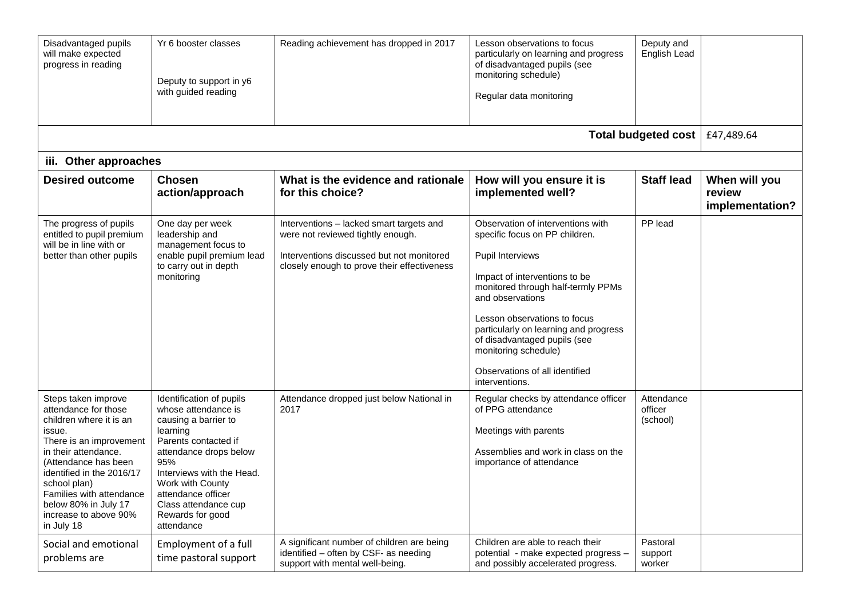| Disadvantaged pupils<br>will make expected<br>progress in reading                                                                                                                                                                                                                                   | Yr 6 booster classes<br>Deputy to support in y6<br>with guided reading                                                                                                                                                                                                        | Reading achievement has dropped in 2017                                                                                                                                   | Lesson observations to focus<br>particularly on learning and progress<br>of disadvantaged pupils (see<br>monitoring schedule)<br>Regular data monitoring                                                                                                                                                                                                                       | Deputy and<br>English Lead        |                                            |
|-----------------------------------------------------------------------------------------------------------------------------------------------------------------------------------------------------------------------------------------------------------------------------------------------------|-------------------------------------------------------------------------------------------------------------------------------------------------------------------------------------------------------------------------------------------------------------------------------|---------------------------------------------------------------------------------------------------------------------------------------------------------------------------|--------------------------------------------------------------------------------------------------------------------------------------------------------------------------------------------------------------------------------------------------------------------------------------------------------------------------------------------------------------------------------|-----------------------------------|--------------------------------------------|
|                                                                                                                                                                                                                                                                                                     |                                                                                                                                                                                                                                                                               |                                                                                                                                                                           |                                                                                                                                                                                                                                                                                                                                                                                | Total budgeted cost               | £47,489.64                                 |
| iii. Other approaches                                                                                                                                                                                                                                                                               |                                                                                                                                                                                                                                                                               |                                                                                                                                                                           |                                                                                                                                                                                                                                                                                                                                                                                |                                   |                                            |
| <b>Desired outcome</b>                                                                                                                                                                                                                                                                              | <b>Chosen</b><br>action/approach                                                                                                                                                                                                                                              | What is the evidence and rationale<br>for this choice?                                                                                                                    | How will you ensure it is<br>implemented well?                                                                                                                                                                                                                                                                                                                                 | <b>Staff lead</b>                 | When will you<br>review<br>implementation? |
| The progress of pupils<br>entitled to pupil premium<br>will be in line with or<br>better than other pupils                                                                                                                                                                                          | One day per week<br>leadership and<br>management focus to<br>enable pupil premium lead<br>to carry out in depth<br>monitoring                                                                                                                                                 | Interventions - lacked smart targets and<br>were not reviewed tightly enough.<br>Interventions discussed but not monitored<br>closely enough to prove their effectiveness | Observation of interventions with<br>specific focus on PP children.<br><b>Pupil Interviews</b><br>Impact of interventions to be<br>monitored through half-termly PPMs<br>and observations<br>Lesson observations to focus<br>particularly on learning and progress<br>of disadvantaged pupils (see<br>monitoring schedule)<br>Observations of all identified<br>interventions. | PP lead                           |                                            |
| Steps taken improve<br>attendance for those<br>children where it is an<br>issue.<br>There is an improvement<br>in their attendance.<br>(Attendance has been<br>identified in the 2016/17<br>school plan)<br>Families with attendance<br>below 80% in July 17<br>increase to above 90%<br>in July 18 | Identification of pupils<br>whose attendance is<br>causing a barrier to<br>learning<br>Parents contacted if<br>attendance drops below<br>95%<br>Interviews with the Head.<br>Work with County<br>attendance officer<br>Class attendance cup<br>Rewards for good<br>attendance | Attendance dropped just below National in<br>2017                                                                                                                         | Regular checks by attendance officer<br>of PPG attendance<br>Meetings with parents<br>Assemblies and work in class on the<br>importance of attendance                                                                                                                                                                                                                          | Attendance<br>officer<br>(school) |                                            |
| Social and emotional<br>problems are                                                                                                                                                                                                                                                                | Employment of a full<br>time pastoral support                                                                                                                                                                                                                                 | A significant number of children are being<br>identified - often by CSF- as needing<br>support with mental well-being.                                                    | Children are able to reach their<br>potential - make expected progress -<br>and possibly accelerated progress.                                                                                                                                                                                                                                                                 | Pastoral<br>support<br>worker     |                                            |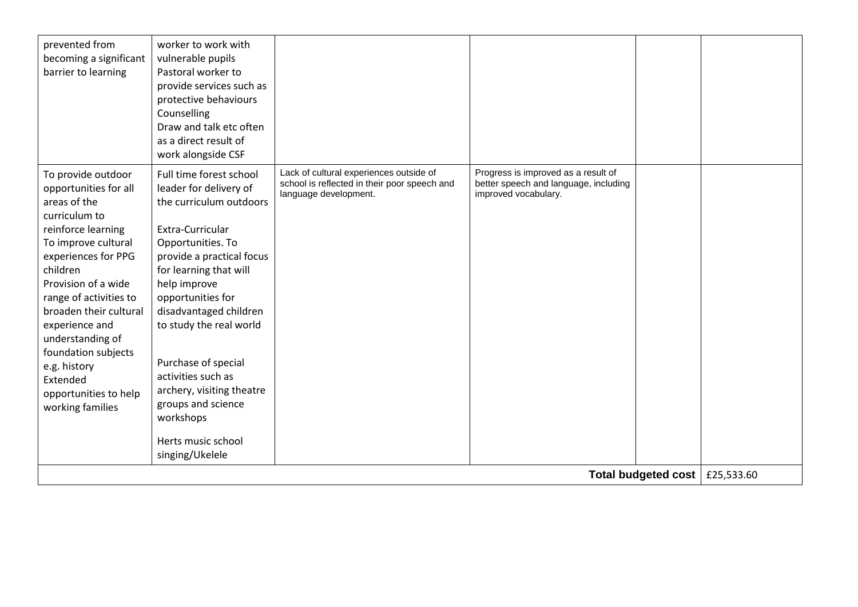| prevented from<br>becoming a significant<br>barrier to learning                                                                                                                                                                                                                                                                                                               | worker to work with<br>vulnerable pupils<br>Pastoral worker to<br>provide services such as<br>protective behaviours<br>Counselling<br>Draw and talk etc often<br>as a direct result of<br>work alongside CSF                                                                                                                                                                                                                 |                                                                                                                  |                                                                                                      |  |  |
|-------------------------------------------------------------------------------------------------------------------------------------------------------------------------------------------------------------------------------------------------------------------------------------------------------------------------------------------------------------------------------|------------------------------------------------------------------------------------------------------------------------------------------------------------------------------------------------------------------------------------------------------------------------------------------------------------------------------------------------------------------------------------------------------------------------------|------------------------------------------------------------------------------------------------------------------|------------------------------------------------------------------------------------------------------|--|--|
| To provide outdoor<br>opportunities for all<br>areas of the<br>curriculum to<br>reinforce learning<br>To improve cultural<br>experiences for PPG<br>children<br>Provision of a wide<br>range of activities to<br>broaden their cultural<br>experience and<br>understanding of<br>foundation subjects<br>e.g. history<br>Extended<br>opportunities to help<br>working families | Full time forest school<br>leader for delivery of<br>the curriculum outdoors<br>Extra-Curricular<br>Opportunities. To<br>provide a practical focus<br>for learning that will<br>help improve<br>opportunities for<br>disadvantaged children<br>to study the real world<br>Purchase of special<br>activities such as<br>archery, visiting theatre<br>groups and science<br>workshops<br>Herts music school<br>singing/Ukelele | Lack of cultural experiences outside of<br>school is reflected in their poor speech and<br>language development. | Progress is improved as a result of<br>better speech and language, including<br>improved vocabulary. |  |  |
|                                                                                                                                                                                                                                                                                                                                                                               | Total budgeted cost<br>£25,533.60                                                                                                                                                                                                                                                                                                                                                                                            |                                                                                                                  |                                                                                                      |  |  |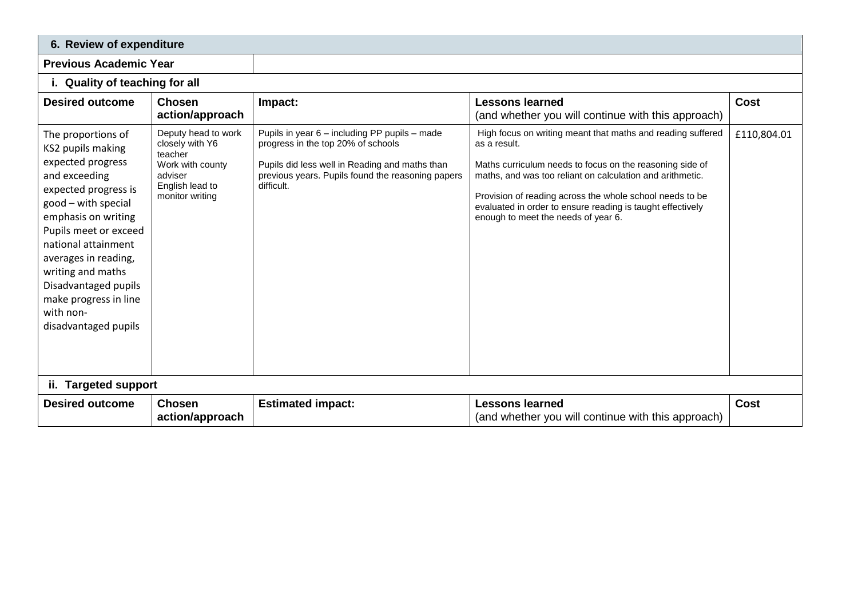| 6. Review of expenditure                                                                                                                                                                                                                                                                                                               |                                                                                                                        |                                                                                                                                                                                                          |                                                                                                                                                                                                                                                                                                                                                                       |             |
|----------------------------------------------------------------------------------------------------------------------------------------------------------------------------------------------------------------------------------------------------------------------------------------------------------------------------------------|------------------------------------------------------------------------------------------------------------------------|----------------------------------------------------------------------------------------------------------------------------------------------------------------------------------------------------------|-----------------------------------------------------------------------------------------------------------------------------------------------------------------------------------------------------------------------------------------------------------------------------------------------------------------------------------------------------------------------|-------------|
| <b>Previous Academic Year</b>                                                                                                                                                                                                                                                                                                          |                                                                                                                        |                                                                                                                                                                                                          |                                                                                                                                                                                                                                                                                                                                                                       |             |
| i. Quality of teaching for all                                                                                                                                                                                                                                                                                                         |                                                                                                                        |                                                                                                                                                                                                          |                                                                                                                                                                                                                                                                                                                                                                       |             |
| <b>Desired outcome</b>                                                                                                                                                                                                                                                                                                                 | <b>Chosen</b><br>action/approach                                                                                       | Impact:                                                                                                                                                                                                  | <b>Lessons learned</b><br>(and whether you will continue with this approach)                                                                                                                                                                                                                                                                                          | <b>Cost</b> |
| The proportions of<br>KS2 pupils making<br>expected progress<br>and exceeding<br>expected progress is<br>good - with special<br>emphasis on writing<br>Pupils meet or exceed<br>national attainment<br>averages in reading,<br>writing and maths<br>Disadvantaged pupils<br>make progress in line<br>with non-<br>disadvantaged pupils | Deputy head to work<br>closely with Y6<br>teacher<br>Work with county<br>adviser<br>English lead to<br>monitor writing | Pupils in year 6 - including PP pupils - made<br>progress in the top 20% of schools<br>Pupils did less well in Reading and maths than<br>previous years. Pupils found the reasoning papers<br>difficult. | High focus on writing meant that maths and reading suffered<br>as a result.<br>Maths curriculum needs to focus on the reasoning side of<br>maths, and was too reliant on calculation and arithmetic.<br>Provision of reading across the whole school needs to be<br>evaluated in order to ensure reading is taught effectively<br>enough to meet the needs of year 6. | £110,804.01 |
| ii. Targeted support                                                                                                                                                                                                                                                                                                                   |                                                                                                                        |                                                                                                                                                                                                          |                                                                                                                                                                                                                                                                                                                                                                       |             |
| <b>Desired outcome</b>                                                                                                                                                                                                                                                                                                                 | <b>Chosen</b><br>action/approach                                                                                       | <b>Estimated impact:</b>                                                                                                                                                                                 | <b>Lessons learned</b><br>(and whether you will continue with this approach)                                                                                                                                                                                                                                                                                          | Cost        |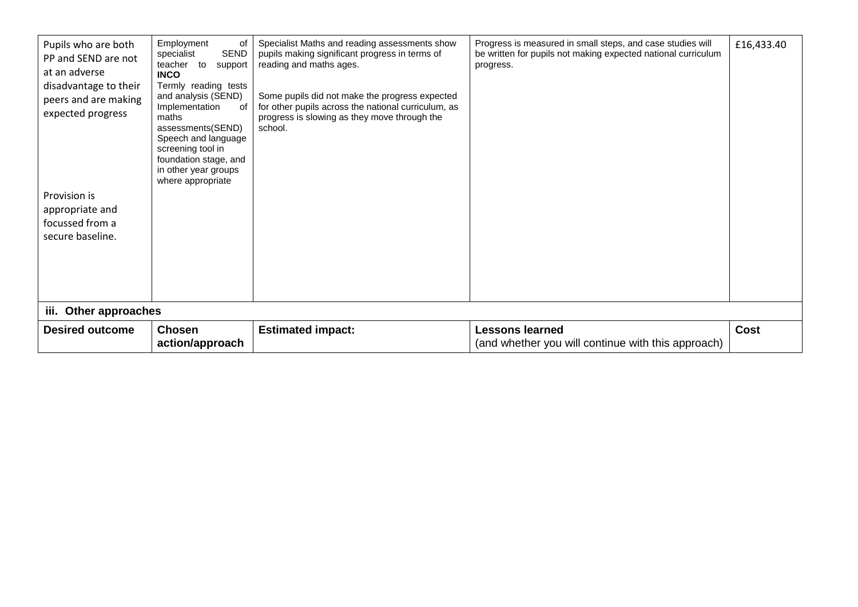| Pupils who are both<br>PP and SEND are not<br>at an adverse<br>disadvantage to their<br>peers and are making<br>expected progress<br>Provision is<br>appropriate and<br>focussed from a<br>secure baseline. | Employment<br>οf<br>SEND<br>specialist<br>teacher to<br>support<br><b>INCO</b><br>Termly reading tests<br>and analysis (SEND)<br>Implementation<br>of<br>maths<br>assessments(SEND)<br>Speech and language<br>screening tool in<br>foundation stage, and<br>in other year groups<br>where appropriate | Specialist Maths and reading assessments show<br>pupils making significant progress in terms of<br>reading and maths ages.<br>Some pupils did not make the progress expected<br>for other pupils across the national curriculum, as<br>progress is slowing as they move through the<br>school. | Progress is measured in small steps, and case studies will<br>be written for pupils not making expected national curriculum<br>progress. | £16,433.40  |
|-------------------------------------------------------------------------------------------------------------------------------------------------------------------------------------------------------------|-------------------------------------------------------------------------------------------------------------------------------------------------------------------------------------------------------------------------------------------------------------------------------------------------------|------------------------------------------------------------------------------------------------------------------------------------------------------------------------------------------------------------------------------------------------------------------------------------------------|------------------------------------------------------------------------------------------------------------------------------------------|-------------|
| iii. Other approaches                                                                                                                                                                                       |                                                                                                                                                                                                                                                                                                       |                                                                                                                                                                                                                                                                                                |                                                                                                                                          |             |
| <b>Desired outcome</b>                                                                                                                                                                                      | <b>Chosen</b><br>action/approach                                                                                                                                                                                                                                                                      | <b>Estimated impact:</b>                                                                                                                                                                                                                                                                       | <b>Lessons learned</b><br>(and whether you will continue with this approach)                                                             | <b>Cost</b> |